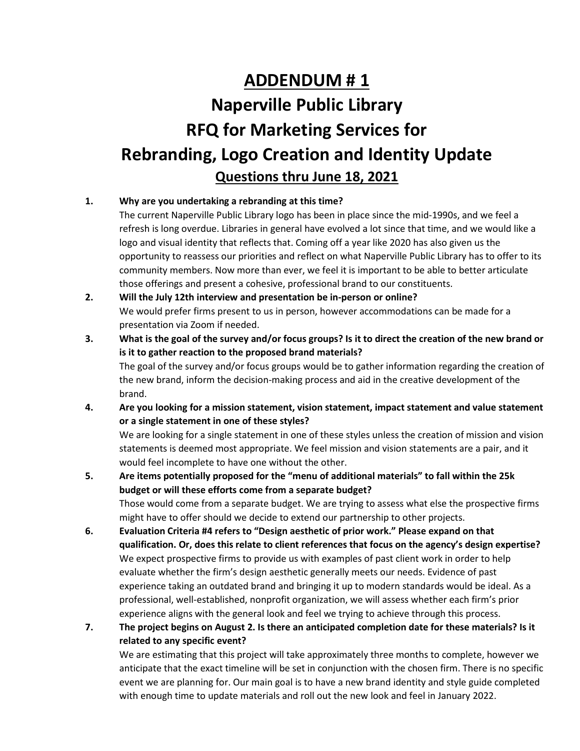## **ADDENDUM # 1 Naperville Public Library RFQ for Marketing Services for Rebranding, Logo Creation and Identity Update Questions thru June 18, 2021**

## **1. Why are you undertaking a rebranding at this time?**

The current Naperville Public Library logo has been in place since the mid-1990s, and we feel a refresh is long overdue. Libraries in general have evolved a lot since that time, and we would like a logo and visual identity that reflects that. Coming off a year like 2020 has also given us the opportunity to reassess our priorities and reflect on what Naperville Public Library has to offer to its community members. Now more than ever, we feel it is important to be able to better articulate those offerings and present a cohesive, professional brand to our constituents.

## **2. Will the July 12th interview and presentation be in-person or online?** We would prefer firms present to us in person, however accommodations can be made for a presentation via Zoom if needed.

- **3. What is the goal of the survey and/or focus groups? Is it to direct the creation of the new brand or is it to gather reaction to the proposed brand materials?** The goal of the survey and/or focus groups would be to gather information regarding the creation of the new brand, inform the decision-making process and aid in the creative development of the brand.
- **4. Are you looking for a mission statement, vision statement, impact statement and value statement or a single statement in one of these styles?**

We are looking for a single statement in one of these styles unless the creation of mission and vision statements is deemed most appropriate. We feel mission and vision statements are a pair, and it would feel incomplete to have one without the other.

- **5. Are items potentially proposed for the "menu of additional materials" to fall within the 25k budget or will these efforts come from a separate budget?** Those would come from a separate budget. We are trying to assess what else the prospective firms might have to offer should we decide to extend our partnership to other projects.
- **6. Evaluation Criteria #4 refers to "Design aesthetic of prior work." Please expand on that qualification. Or, does this relate to client references that focus on the agency's design expertise?** We expect prospective firms to provide us with examples of past client work in order to help evaluate whether the firm's design aesthetic generally meets our needs. Evidence of past experience taking an outdated brand and bringing it up to modern standards would be ideal. As a professional, well-established, nonprofit organization, we will assess whether each firm's prior experience aligns with the general look and feel we trying to achieve through this process.
- **7. The project begins on August 2. Is there an anticipated completion date for these materials? Is it related to any specific event?**

We are estimating that this project will take approximately three months to complete, however we anticipate that the exact timeline will be set in conjunction with the chosen firm. There is no specific event we are planning for. Our main goal is to have a new brand identity and style guide completed with enough time to update materials and roll out the new look and feel in January 2022.